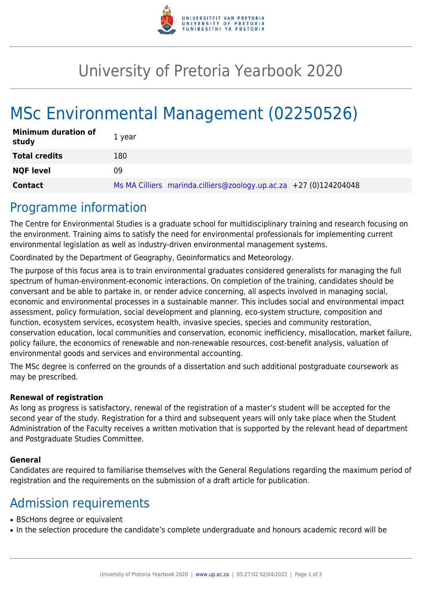

## University of Pretoria Yearbook 2020

# MSc Environmental Management (02250526)

| <b>Minimum duration of</b><br>study | 1 year                                                            |
|-------------------------------------|-------------------------------------------------------------------|
| <b>Total credits</b>                | 180                                                               |
| <b>NQF level</b>                    | 09                                                                |
| <b>Contact</b>                      | Ms MA Cilliers marinda.cilliers@zoology.up.ac.za +27 (0)124204048 |

#### Programme information

The Centre for Environmental Studies is a graduate school for multidisciplinary training and research focusing on the environment. Training aims to satisfy the need for environmental professionals for implementing current environmental legislation as well as industry-driven environmental management systems.

Coordinated by the Department of Geography, Geoinformatics and Meteorology.

The purpose of this focus area is to train environmental graduates considered generalists for managing the full spectrum of human-environment-economic interactions. On completion of the training, candidates should be conversant and be able to partake in, or render advice concerning, all aspects involved in managing social, economic and environmental processes in a sustainable manner. This includes social and environmental impact assessment, policy formulation, social development and planning, eco-system structure, composition and function, ecosystem services, ecosystem health, invasive species, species and community restoration, conservation education, local communities and conservation, economic inefficiency, misallocation, market failure, policy failure, the economics of renewable and non-renewable resources, cost-benefit analysis, valuation of environmental goods and services and environmental accounting.

The MSc degree is conferred on the grounds of a dissertation and such additional postgraduate coursework as may be prescribed.

#### **Renewal of registration**

As long as progress is satisfactory, renewal of the registration of a master's student will be accepted for the second year of the study. Registration for a third and subsequent years will only take place when the Student Administration of the Faculty receives a written motivation that is supported by the relevant head of department and Postgraduate Studies Committee.

#### **General**

Candidates are required to familiarise themselves with the General Regulations regarding the maximum period of registration and the requirements on the submission of a draft article for publication.

#### Admission requirements

- BScHons degree or equivalent
- In the selection procedure the candidate's complete undergraduate and honours academic record will be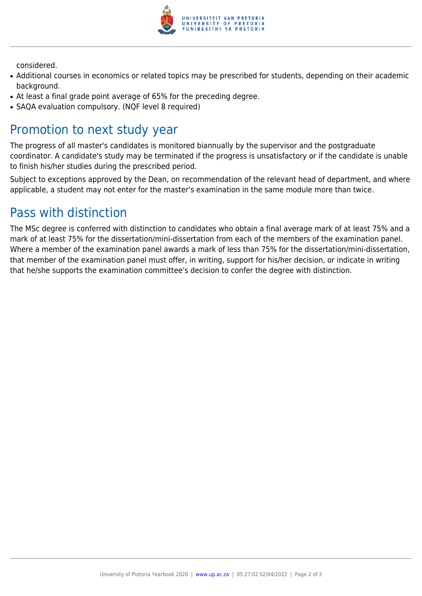

considered.

- Additional courses in economics or related topics may be prescribed for students, depending on their academic background.
- At least a final grade point average of 65% for the preceding degree.
- SAOA evaluation compulsory. (NOF level 8 required)

## Promotion to next study year

The progress of all master's candidates is monitored biannually by the supervisor and the postgraduate coordinator. A candidate's study may be terminated if the progress is unsatisfactory or if the candidate is unable to finish his/her studies during the prescribed period.

Subject to exceptions approved by the Dean, on recommendation of the relevant head of department, and where applicable, a student may not enter for the master's examination in the same module more than twice.

## Pass with distinction

The MSc degree is conferred with distinction to candidates who obtain a final average mark of at least 75% and a mark of at least 75% for the dissertation/mini-dissertation from each of the members of the examination panel. Where a member of the examination panel awards a mark of less than 75% for the dissertation/mini-dissertation, that member of the examination panel must offer, in writing, support for his/her decision, or indicate in writing that he/she supports the examination committee's decision to confer the degree with distinction.